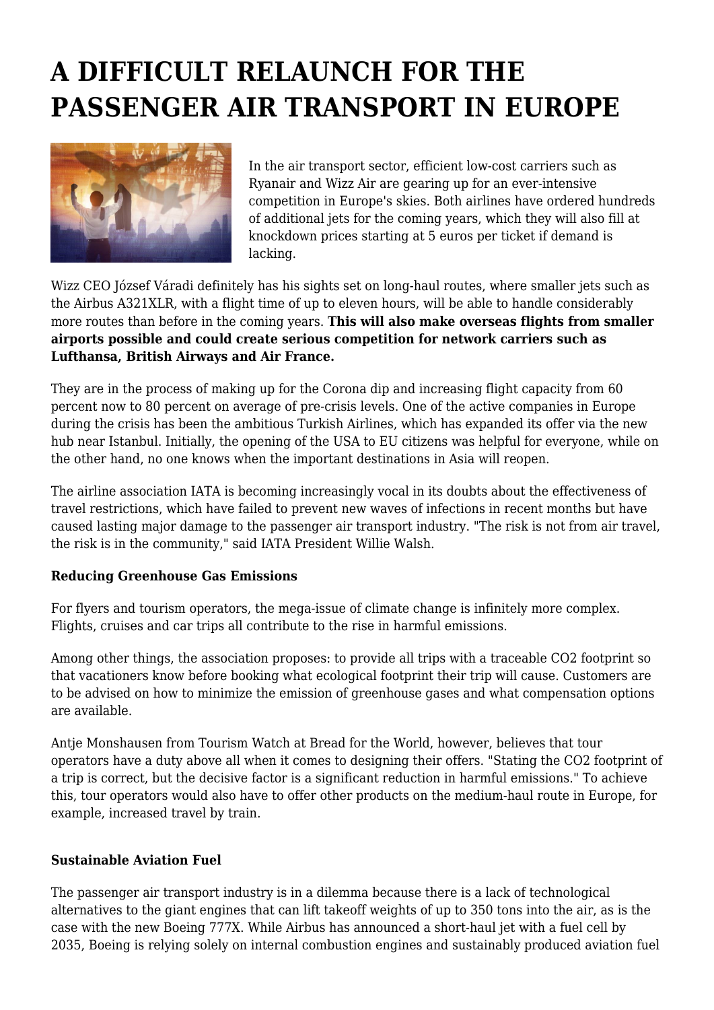## **A DIFFICULT RELAUNCH FOR THE PASSENGER AIR TRANSPORT IN EUROPE**



In the air transport sector, efficient low-cost carriers such as Ryanair and Wizz Air are gearing up for an ever-intensive competition in Europe's skies. Both airlines have ordered hundreds of additional jets for the coming years, which they will also fill at knockdown prices starting at 5 euros per ticket if demand is lacking.

Wizz CEO József Váradi definitely has his sights set on long-haul routes, where smaller jets such as the Airbus A321XLR, with a flight time of up to eleven hours, will be able to handle considerably more routes than before in the coming years. **This will also make overseas flights from smaller airports possible and could create serious competition for network carriers such as Lufthansa, British Airways and Air France.**

They are in the process of making up for the Corona dip and increasing flight capacity from 60 percent now to 80 percent on average of pre-crisis levels. One of the active companies in Europe during the crisis has been the ambitious Turkish Airlines, which has expanded its offer via the new hub near Istanbul. Initially, the opening of the USA to EU citizens was helpful for everyone, while on the other hand, no one knows when the important destinations in Asia will reopen.

The airline association IATA is becoming increasingly vocal in its doubts about the effectiveness of travel restrictions, which have failed to prevent new waves of infections in recent months but have caused lasting major damage to the passenger air transport industry. "The risk is not from air travel, the risk is in the community," said IATA President Willie Walsh.

## **Reducing Greenhouse Gas Emissions**

For flyers and tourism operators, the mega-issue of climate change is infinitely more complex. Flights, cruises and car trips all contribute to the rise in harmful emissions.

Among other things, the association proposes: to provide all trips with a traceable CO2 footprint so that vacationers know before booking what ecological footprint their trip will cause. Customers are to be advised on how to minimize the emission of greenhouse gases and what compensation options are available.

Antie Monshausen from Tourism Watch at Bread for the World, however, believes that tour operators have a duty above all when it comes to designing their offers. "Stating the CO2 footprint of a trip is correct, but the decisive factor is a significant reduction in harmful emissions." To achieve this, tour operators would also have to offer other products on the medium-haul route in Europe, for example, increased travel by train.

## **Sustainable Aviation Fuel**

The passenger air transport industry is in a dilemma because there is a lack of technological alternatives to the giant engines that can lift takeoff weights of up to 350 tons into the air, as is the case with the new Boeing 777X. While Airbus has announced a short-haul jet with a fuel cell by 2035, Boeing is relying solely on internal combustion engines and sustainably produced aviation fuel